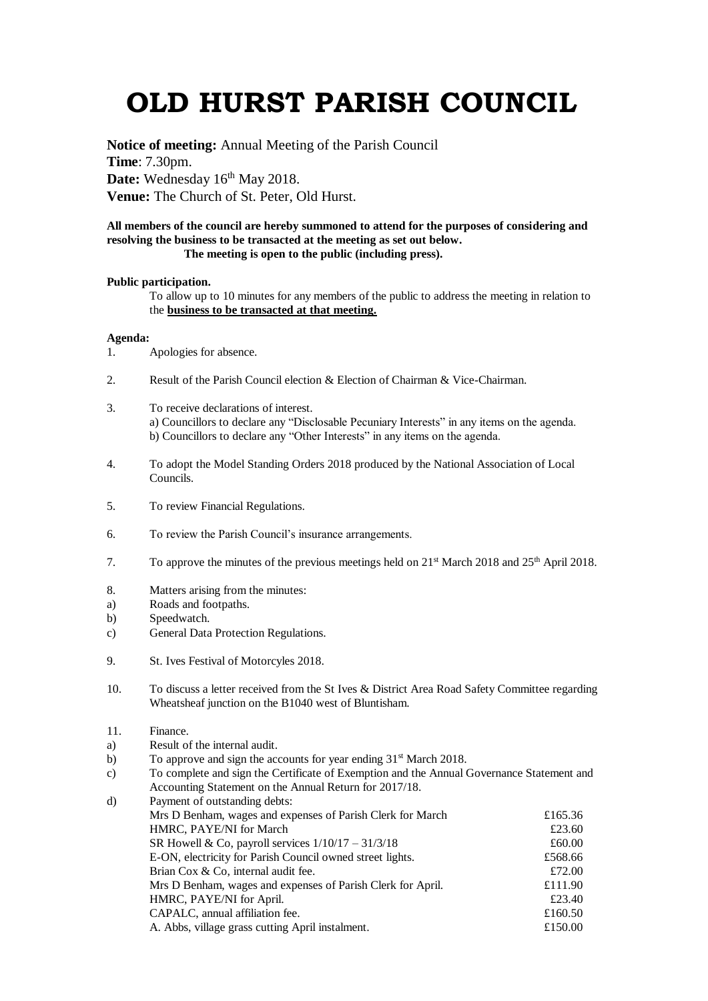## **OLD HURST PARISH COUNCIL**

**Notice of meeting:** Annual Meeting of the Parish Council **Time**: 7.30pm. Date: Wednesday 16<sup>th</sup> May 2018. **Venue:** The Church of St. Peter, Old Hurst.

## **All members of the council are hereby summoned to attend for the purposes of considering and resolving the business to be transacted at the meeting as set out below. The meeting is open to the public (including press).**

## **Public participation.**

To allow up to 10 minutes for any members of the public to address the meeting in relation to the **business to be transacted at that meeting.** 

## **Agenda:**

- 1. Apologies for absence.
- 2. Result of the Parish Council election & Election of Chairman & Vice-Chairman.
- 3. To receive declarations of interest. a) Councillors to declare any "Disclosable Pecuniary Interests" in any items on the agenda. b) Councillors to declare any "Other Interests" in any items on the agenda.
- 4. To adopt the Model Standing Orders 2018 produced by the National Association of Local Councils.
- 5. To review Financial Regulations.
- 6. To review the Parish Council's insurance arrangements.
- 7. To approve the minutes of the previous meetings held on  $21<sup>st</sup>$  March 2018 and  $25<sup>th</sup>$  April 2018.
- 8. Matters arising from the minutes:
- a) Roads and footpaths.
- b) Speedwatch.
- c) General Data Protection Regulations.
- 9. St. Ives Festival of Motorcyles 2018.
- 10. To discuss a letter received from the St Ives & District Area Road Safety Committee regarding Wheatsheaf junction on the B1040 west of Bluntisham.
- 11. Finance.
- a) Result of the internal audit.
- b) To approve and sign the accounts for year ending 31<sup>st</sup> March 2018.
- c) To complete and sign the Certificate of Exemption and the Annual Governance Statement and Accounting Statement on the Annual Return for 2017/18.

| d) | Payment of outstanding debts:                               |         |
|----|-------------------------------------------------------------|---------|
|    | Mrs D Benham, wages and expenses of Parish Clerk for March  | £165.36 |
|    | HMRC, PAYE/NI for March                                     | £23.60  |
|    | SR Howell & Co, payroll services $1/10/17 - 31/3/18$        | £60.00  |
|    | E-ON, electricity for Parish Council owned street lights.   | £568.66 |
|    | Brian Cox & Co, internal audit fee.                         | £72.00  |
|    | Mrs D Benham, wages and expenses of Parish Clerk for April. | £111.90 |
|    | HMRC, PAYE/NI for April.                                    | £23.40  |
|    | CAPALC, annual affiliation fee.                             | £160.50 |
|    | A. Abbs, village grass cutting April instalment.            | £150.00 |